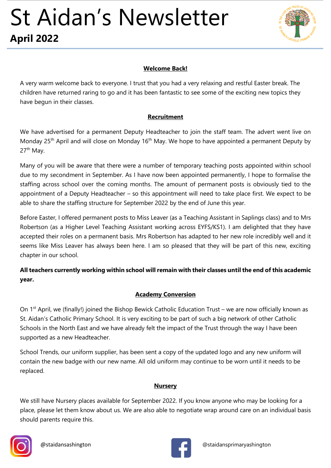

#### **Welcome Back!**

A very warm welcome back to everyone. I trust that you had a very relaxing and restful Easter break. The children have returned raring to go and it has been fantastic to see some of the exciting new topics they have begun in their classes.

#### **Recruitment**

We have advertised for a permanent Deputy Headteacher to join the staff team. The advert went live on Monday 25<sup>th</sup> April and will close on Monday 16<sup>th</sup> May. We hope to have appointed a permanent Deputy by 27<sup>th</sup> May.

Many of you will be aware that there were a number of temporary teaching posts appointed within school due to my secondment in September. As I have now been appointed permanently, I hope to formalise the staffing across school over the coming months. The amount of permanent posts is obviously tied to the appointment of a Deputy Headteacher – so this appointment will need to take place first. We expect to be able to share the staffing structure for September 2022 by the end of June this year.

Before Easter, I offered permanent posts to Miss Leaver (as a Teaching Assistant in Saplings class) and to Mrs Robertson (as a Higher Level Teaching Assistant working across EYFS/KS1). I am delighted that they have accepted their roles on a permanent basis. Mrs Robertson has adapted to her new role incredibly well and it seems like Miss Leaver has always been here. I am so pleased that they will be part of this new, exciting chapter in our school.

# **All teachers currently working within school will remain with their classes until the end of this academic year.**

#### **Academy Conversion**

On  $1<sup>st</sup>$  April, we (finally!) joined the Bishop Bewick Catholic Education Trust – we are now officially known as St. Aidan's Catholic Primary School. It is very exciting to be part of such a big network of other Catholic Schools in the North East and we have already felt the impact of the Trust through the way I have been supported as a new Headteacher.

School Trends, our uniform supplier, has been sent a copy of the updated logo and any new uniform will contain the new badge with our new name. All old uniform may continue to be worn until it needs to be replaced.

#### **Nursery**

We still have Nursery places available for September 2022. If you know anyone who may be looking for a place, please let them know about us. We are also able to negotiate wrap around care on an individual basis should parents require this.



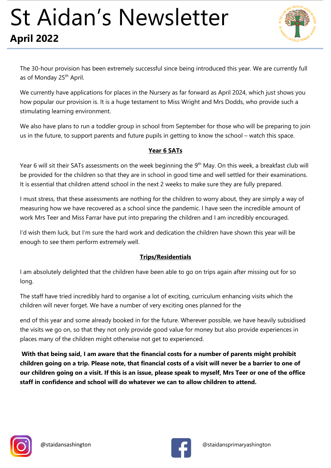

The 30-hour provision has been extremely successful since being introduced this year. We are currently full as of Monday 25<sup>th</sup> April.

We currently have applications for places in the Nursery as far forward as April 2024, which just shows you how popular our provision is. It is a huge testament to Miss Wright and Mrs Dodds, who provide such a stimulating learning environment.

We also have plans to run a toddler group in school from September for those who will be preparing to join us in the future, to support parents and future pupils in getting to know the school – watch this space.

## **Year 6 SATs**

Year 6 will sit their SATs assessments on the week beginning the 9<sup>th</sup> May. On this week, a breakfast club will be provided for the children so that they are in school in good time and well settled for their examinations. It is essential that children attend school in the next 2 weeks to make sure they are fully prepared.

I must stress, that these assessments are nothing for the children to worry about, they are simply a way of measuring how we have recovered as a school since the pandemic. I have seen the incredible amount of work Mrs Teer and Miss Farrar have put into preparing the children and I am incredibly encouraged.

I'd wish them luck, but I'm sure the hard work and dedication the children have shown this year will be enough to see them perform extremely well.

### **Trips/Residentials**

I am absolutely delighted that the children have been able to go on trips again after missing out for so long.

The staff have tried incredibly hard to organise a lot of exciting, curriculum enhancing visits which the children will never forget. We have a number of very exciting ones planned for the

end of this year and some already booked in for the future. Wherever possible, we have heavily subsidised the visits we go on, so that they not only provide good value for money but also provide experiences in places many of the children might otherwise not get to experienced.

**With that being said, I am aware that the financial costs for a number of parents might prohibit children going on a trip. Please note, that financial costs of a visit will never be a barrier to one of our children going on a visit. If this is an issue, please speak to myself, Mrs Teer or one of the office staff in confidence and school will do whatever we can to allow children to attend.**



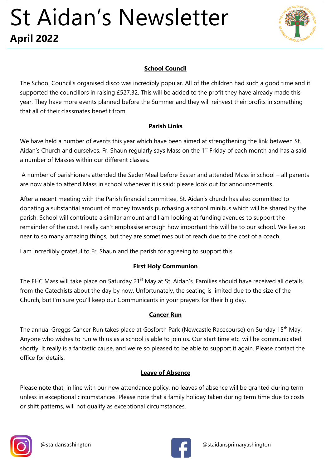

### **School Council**

The School Council's organised disco was incredibly popular. All of the children had such a good time and it supported the councillors in raising £527.32. This will be added to the profit they have already made this year. They have more events planned before the Summer and they will reinvest their profits in something that all of their classmates benefit from.

## **Parish Links**

We have held a number of events this year which have been aimed at strengthening the link between St. Aidan's Church and ourselves. Fr. Shaun regularly says Mass on the 1<sup>st</sup> Friday of each month and has a said a number of Masses within our different classes.

A number of parishioners attended the Seder Meal before Easter and attended Mass in school – all parents are now able to attend Mass in school whenever it is said; please look out for announcements.

After a recent meeting with the Parish financial committee, St. Aidan's church has also committed to donating a substantial amount of money towards purchasing a school minibus which will be shared by the parish. School will contribute a similar amount and I am looking at funding avenues to support the remainder of the cost. I really can't emphasise enough how important this will be to our school. We live so near to so many amazing things, but they are sometimes out of reach due to the cost of a coach.

I am incredibly grateful to Fr. Shaun and the parish for agreeing to support this.

# **First Holy Communion**

The FHC Mass will take place on Saturday 21<sup>st</sup> May at St. Aidan's. Families should have received all details from the Catechists about the day by now. Unfortunately, the seating is limited due to the size of the Church, but I'm sure you'll keep our Communicants in your prayers for their big day.

# **Cancer Run**

The annual Greggs Cancer Run takes place at Gosforth Park (Newcastle Racecourse) on Sunday 15th May. Anyone who wishes to run with us as a school is able to join us. Our start time etc. will be communicated shortly. It really is a fantastic cause, and we're so pleased to be able to support it again. Please contact the office for details.

### **Leave of Absence**

Please note that, in line with our new attendance policy, no leaves of absence will be granted during term unless in exceptional circumstances. Please note that a family holiday taken during term time due to costs or shift patterns, will not qualify as exceptional circumstances.